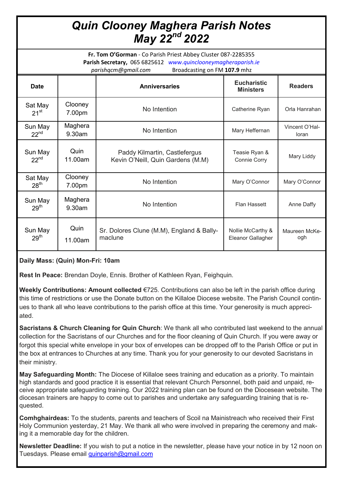## *Quin Clooney Maghera Parish Notes May 22nd 2022*

**Fr. Tom O'Gorman** - Co Parish Priest Abbey Cluster 087-2285355 **Parish Secretary,** 065 6825612 *www.quinclooneymagheraparish.ie parishqcm@gmail.com* Broadcasting on FM **107.9** mhz

| <b>Date</b>                 |                   | <b>Anniversaries</b>                                               | <b>Eucharistic</b><br><b>Ministers</b> | <b>Readers</b>          |
|-----------------------------|-------------------|--------------------------------------------------------------------|----------------------------------------|-------------------------|
| Sat May<br>$21^{st}$        | Clooney<br>7.00pm | No Intention                                                       | Catherine Ryan                         | Orla Hanrahan           |
| Sun May<br>$22^{nd}$        | Maghera<br>9.30am | No Intention                                                       | Mary Heffernan                         | Vincent O'Hal-<br>loran |
| Sun May<br>$22^{nd}$        | Quin<br>11.00am   | Paddy Kilmartin, Castlefergus<br>Kevin O'Neill, Quin Gardens (M.M) | Teasie Ryan &<br>Connie Corry          | Mary Liddy              |
| Sat May<br>28 <sup>th</sup> | Clooney<br>7.00pm | No Intention                                                       | Mary O'Connor                          | Mary O'Connor           |
| Sun May<br>29 <sup>th</sup> | Maghera<br>9.30am | No Intention                                                       | Flan Hassett                           | Anne Daffy              |
| Sun May<br>29 <sup>th</sup> | Quin<br>11.00am   | Sr. Dolores Clune (M.M), England & Bally-<br>maclune               | Nollie McCarthy &<br>Eleanor Gallagher | Maureen McKe-<br>ogh    |

## **Daily Mass: (Quin) Mon-Fri: 10am**

**Rest In Peace:** Brendan Doyle, Ennis. Brother of Kathleen Ryan, Feighquin.

**Weekly Contributions: Amount collected** €725. Contributions can also be left in the parish office during this time of restrictions or use the Donate button on the Killaloe Diocese website. The Parish Council continues to thank all who leave contributions to the parish office at this time. Your generosity is much appreciated.

**Sacristans & Church Cleaning for Quin Church**: We thank all who contributed last weekend to the annual collection for the Sacristans of our Churches and for the floor cleaning of Quin Church. If you were away or forgot this special white envelope in your box of envelopes can be dropped off to the Parish Office or put in the box at entrances to Churches at any time. Thank you for your generosity to our devoted Sacristans in their ministry.

**May Safeguarding Month:** The Diocese of Killaloe sees training and education as a priority. To maintain high standards and good practice it is essential that relevant Church Personnel, both paid and unpaid, receive appropriate safeguarding training. Our 2022 training plan can be found on the Diocesean website. The diocesan trainers are happy to come out to parishes and undertake any safeguarding training that is requested.

**Comhghairdeas:** To the students, parents and teachers of Scoil na Mainistreach who received their First Holy Communion yesterday, 21 May. We thank all who were involved in preparing the ceremony and making it a memorable day for the children.

**Newsletter Deadline:** If you wish to put a notice in the newsletter, please have your notice in by 12 noon on Tuesdays. Please email [quinparish@gmail.com](mailto:quinparish@gmail.com)